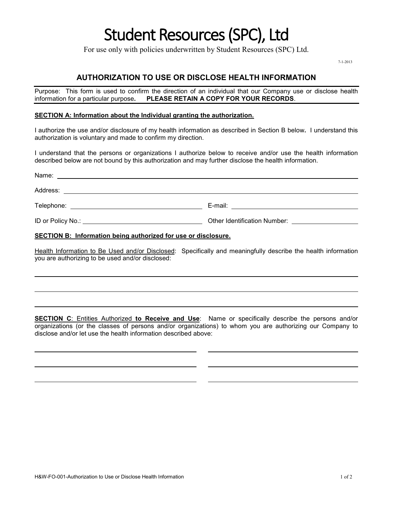# Student Resources (SPC), Ltd

For use only with policies underwritten by Student Resources (SPC) Ltd.

7-1-2013

# **AUTHORIZATION TO USE OR DISCLOSE HEALTH INFORMATION**

Purpose: This form is used to confirm the direction of an individual that our Company use or disclose health information for a particular purpose. PLEASE RETAIN A COPY FOR YOUR RECORDS. **PLEASE RETAIN A COPY FOR YOUR RECORDS.** 

#### **SECTION A: Information about the Individual granting the authorization.**

I authorize the use and/or disclosure of my health information as described in Section B below**.** I understand this authorization is voluntary and made to confirm my direction.

I understand that the persons or organizations I authorize below to receive and/or use the health information described below are not bound by this authorization and may further disclose the health information.

| Other Identification Number: National School School and School School School School School School School School |
|-----------------------------------------------------------------------------------------------------------------|
|                                                                                                                 |

#### **SECTION B: Information being authorized for use or disclosure.**

Health Information to Be Used and/or Disclosed: Specifically and meaningfully describe the health information you are authorizing to be used and/or disclosed:

**SECTION C**: Entities Authorized **to Receive and Use**: Name or specifically describe the persons and/or organizations (or the classes of persons and/or organizations) to whom you are authorizing our Company to disclose and/or let use the health information described above: